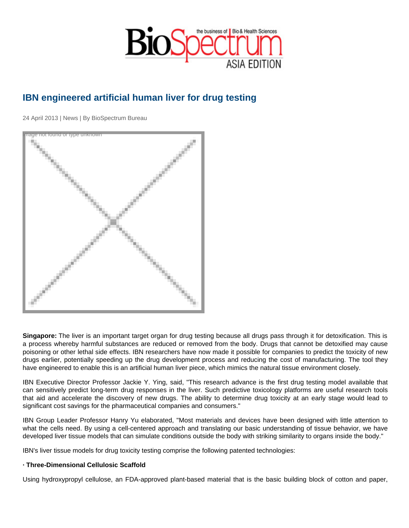## IBN engineered artificial human liver for drug testing

24 April 2013 | News | By BioSpectrum Bureau

Image not found or type unknown

Singapore: The liver is an important target organ for drug testing because all drugs pass through it for detoxification. This is a process whereby harmful substances are reduced or removed from the body. Drugs that cannot be detoxified may cause poisoning or other lethal side effects. IBN researchers have now made it possible for companies to predict the toxicity of new drugs earlier, potentially speeding up the drug development process and reducing the cost of manufacturing. The tool they have engineered to enable this is an artificial human liver piece, which mimics the natural tissue environment closely.

IBN Executive Director Professor Jackie Y. Ying, said, "This research advance is the first drug testing model available that can sensitively predict long-term drug responses in the liver. Such predictive toxicology platforms are useful research tools that aid and accelerate the discovery of new drugs. The ability to determine drug toxicity at an early stage would lead to significant cost savings for the pharmaceutical companies and consumers."

IBN Group Leader Professor Hanry Yu elaborated, "Most materials and devices have been designed with little attention to what the cells need. By using a cell-centered approach and translating our basic understanding of tissue behavior, we have developed liver tissue models that can simulate conditions outside the body with striking similarity to organs inside the body."

IBN's liver tissue models for drug toxicity testing comprise the following patented technologies:

· Three-Dimensional Cellulosic Scaffold

Using hydroxypropyl cellulose, an FDA-approved plant-based material that is the basic building block of cotton and paper,